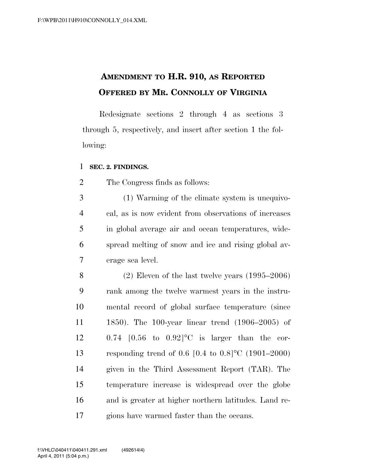## **AMENDMENT TO H.R. 910, AS REPORTED OFFERED BY MR. CONNOLLY OF VIRGINIA**

Redesignate sections 2 through 4 as sections 3 through 5, respectively, and insert after section 1 the following:

## **SEC. 2. FINDINGS.**

The Congress finds as follows:

 (1) Warming of the climate system is unequivo- cal, as is now evident from observations of increases in global average air and ocean temperatures, wide- spread melting of snow and ice and rising global av-erage sea level.

 (2) Eleven of the last twelve years (1995–2006) rank among the twelve warmest years in the instru- mental record of global surface temperature (since 1850). The 100-year linear trend (1906–2005) of 0.74 [0.56 to 0.92]°C is larger than the cor- responding trend of 0.6 [0.4 to 0.8]°C (1901–2000) given in the Third Assessment Report (TAR). The temperature increase is widespread over the globe and is greater at higher northern latitudes. Land re-gions have warmed faster than the oceans.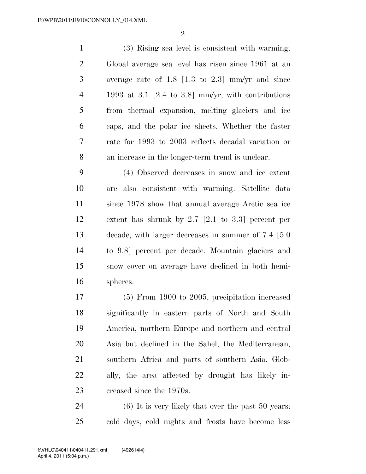$\mathfrak{D}$ 

 (3) Rising sea level is consistent with warming. Global average sea level has risen since 1961 at an average rate of 1.8 [1.3 to 2.3] mm/yr and since 1993 at 3.1 [2.4 to 3.8] mm/yr, with contributions from thermal expansion, melting glaciers and ice caps, and the polar ice sheets. Whether the faster rate for 1993 to 2003 reflects decadal variation or an increase in the longer-term trend is unclear.

 (4) Observed decreases in snow and ice extent are also consistent with warming. Satellite data since 1978 show that annual average Arctic sea ice extent has shrunk by 2.7 [2.1 to 3.3] percent per decade, with larger decreases in summer of 7.4 [5.0 to 9.8] percent per decade. Mountain glaciers and snow cover on average have declined in both hemi-spheres.

 (5) From 1900 to 2005, precipitation increased significantly in eastern parts of North and South America, northern Europe and northern and central Asia but declined in the Sahel, the Mediterranean, southern Africa and parts of southern Asia. Glob- ally, the area affected by drought has likely in-creased since the 1970s.

 (6) It is very likely that over the past 50 years: cold days, cold nights and frosts have become less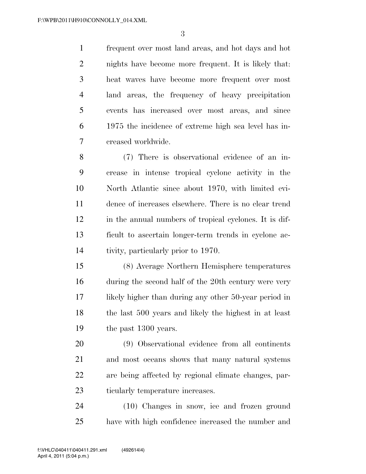frequent over most land areas, and hot days and hot nights have become more frequent. It is likely that: heat waves have become more frequent over most land areas, the frequency of heavy precipitation events has increased over most areas, and since 1975 the incidence of extreme high sea level has in-creased worldwide.

 (7) There is observational evidence of an in- crease in intense tropical cyclone activity in the North Atlantic since about 1970, with limited evi- dence of increases elsewhere. There is no clear trend in the annual numbers of tropical cyclones. It is dif- ficult to ascertain longer-term trends in cyclone ac-tivity, particularly prior to 1970.

 (8) Average Northern Hemisphere temperatures during the second half of the 20th century were very likely higher than during any other 50-year period in the last 500 years and likely the highest in at least 19 the past 1300 years.

 (9) Observational evidence from all continents and most oceans shows that many natural systems are being affected by regional climate changes, par-ticularly temperature increases.

 (10) Changes in snow, ice and frozen ground have with high confidence increased the number and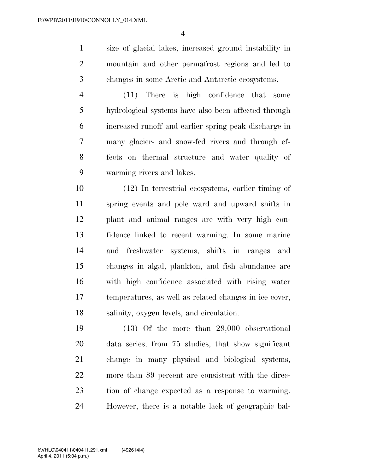size of glacial lakes, increased ground instability in mountain and other permafrost regions and led to changes in some Arctic and Antarctic ecosystems.

 (11) There is high confidence that some hydrological systems have also been affected through increased runoff and earlier spring peak discharge in many glacier- and snow-fed rivers and through ef- fects on thermal structure and water quality of warming rivers and lakes.

 (12) In terrestrial ecosystems, earlier timing of spring events and pole ward and upward shifts in plant and animal ranges are with very high con- fidence linked to recent warming. In some marine and freshwater systems, shifts in ranges and changes in algal, plankton, and fish abundance are with high confidence associated with rising water temperatures, as well as related changes in ice cover, salinity, oxygen levels, and circulation.

 (13) Of the more than 29,000 observational data series, from 75 studies, that show significant change in many physical and biological systems, more than 89 percent are consistent with the direc- tion of change expected as a response to warming. However, there is a notable lack of geographic bal-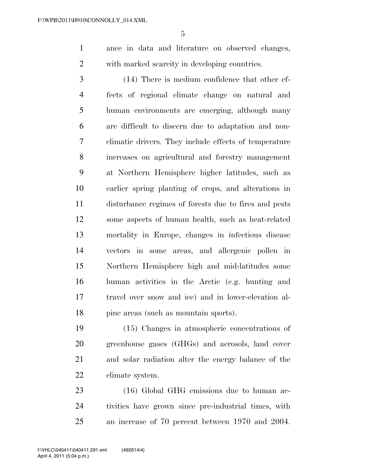ance in data and literature on observed changes, with marked scarcity in developing countries.

 (14) There is medium confidence that other ef- fects of regional climate change on natural and human environments are emerging, although many are difficult to discern due to adaptation and non- climatic drivers. They include effects of temperature increases on agricultural and forestry management at Northern Hemisphere higher latitudes, such as earlier spring planting of crops, and alterations in disturbance regimes of forests due to fires and pests some aspects of human health, such as heat-related mortality in Europe, changes in infectious disease vectors in some areas, and allergenic pollen in Northern Hemisphere high and mid-latitudes some human activities in the Arctic (e.g. hunting and travel over snow and ice) and in lower-elevation al-18 pine areas (such as mountain sports).

 (15) Changes in atmospheric concentrations of greenhouse gases (GHGs) and aerosols, land cover and solar radiation alter the energy balance of the climate system.

23 (16) Global GHG emissions due to human ac- tivities have grown since pre-industrial times, with an increase of 70 percent between 1970 and 2004.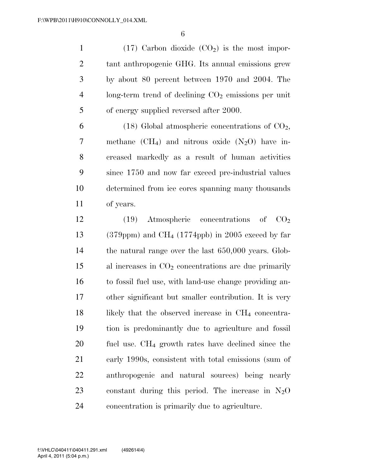1 (17) Carbon dioxide  $(CO<sub>2</sub>)$  is the most impor- tant anthropogenic GHG. Its annual emissions grew by about 80 percent between 1970 and 2004. The long-term trend of declining  $CO<sub>2</sub>$  emissions per unit of energy supplied reversed after 2000.

6 (18) Global atmospheric concentrations of  $CO<sub>2</sub>$ , 7 methane  $(CH<sub>4</sub>)$  and nitrous oxide  $(N<sub>2</sub>O)$  have in- creased markedly as a result of human activities since 1750 and now far exceed pre-industrial values determined from ice cores spanning many thousands of years.

12 (19) Atmospheric concentrations of  $CO<sub>2</sub>$ 13 (379ppm) and CH<sub>4</sub> (1774ppb) in 2005 exceed by far the natural range over the last 650,000 years. Glob- al increases in  $CO<sub>2</sub>$  concentrations are due primarily to fossil fuel use, with land-use change providing an- other significant but smaller contribution. It is very 18 likely that the observed increase in CH<sub>4</sub> concentra- tion is predominantly due to agriculture and fossil fuel use. CH4 growth rates have declined since the early 1990s, consistent with total emissions (sum of anthropogenic and natural sources) being nearly 23 constant during this period. The increase in  $N_2O$ concentration is primarily due to agriculture.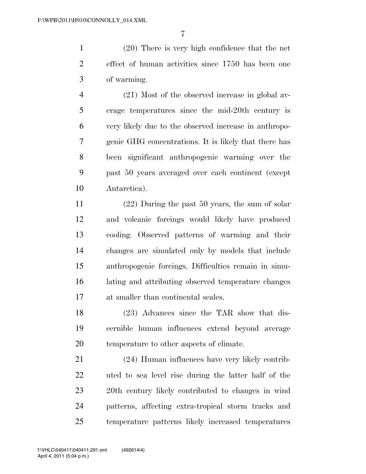(20) There is very high confidence that the net effect of human activities since 1750 has been one of warming.

 (21) Most of the observed increase in global av- erage temperatures since the mid-20th century is very likely due to the observed increase in anthropo- genic GHG concentrations. It is likely that there has been significant anthropogenic warming over the past 50 years averaged over each continent (except Antarctica).

 (22) During the past 50 years, the sum of solar and volcanic forcings would likely have produced cooling. Observed patterns of warming and their changes are simulated only by models that include anthropogenic forcings. Difficulties remain in simu- lating and attributing observed temperature changes at smaller than continental scales.

 (23) Advances since the TAR show that dis- cernible human influences extend beyond average temperature to other aspects of climate.

 (24) Human influences have very likely contrib- uted to sea level rise during the latter half of the 20th century likely contributed to changes in wind patterns, affecting extra-tropical storm tracks and temperature patterns likely increased temperatures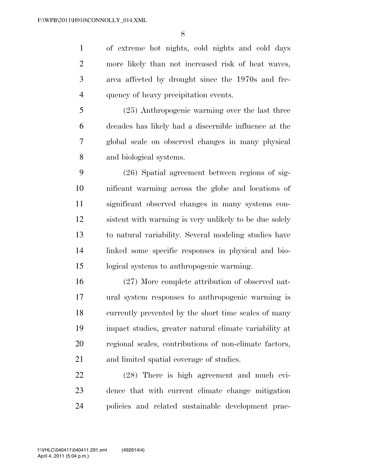of extreme hot nights, cold nights and cold days more likely than not increased risk of heat waves, area affected by drought since the 1970s and fre-quency of heavy precipitation events.

 (25) Anthropogenic warming over the last three decades has likely had a discernible influence at the global scale on observed changes in many physical and biological systems.

 (26) Spatial agreement between regions of sig- nificant warming across the globe and locations of significant observed changes in many systems con- sistent with warming is very unlikely to be due solely to natural variability. Several modeling studies have linked some specific responses in physical and bio-logical systems to anthropogenic warming.

 (27) More complete attribution of observed nat- ural system responses to anthropogenic warming is currently prevented by the short time scales of many impact studies, greater natural climate variability at regional scales, contributions of non-climate factors, and limited spatial coverage of studies.

 (28) There is high agreement and much evi- dence that with current climate change mitigation policies and related sustainable development prac-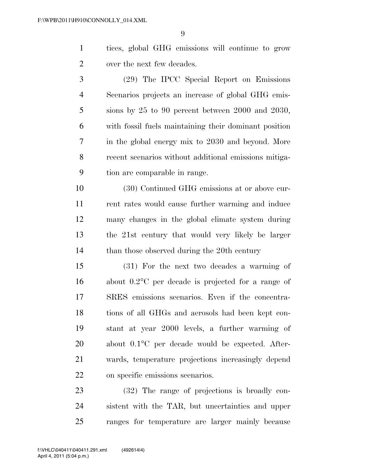tices, global GHG emissions will continue to grow over the next few decades.

 (29) The IPCC Special Report on Emissions Scenarios projects an increase of global GHG emis- sions by 25 to 90 percent between 2000 and 2030, with fossil fuels maintaining their dominant position in the global energy mix to 2030 and beyond. More recent scenarios without additional emissions mitiga-tion are comparable in range.

 (30) Continued GHG emissions at or above cur- rent rates would cause further warming and induce many changes in the global climate system during the 21st century that would very likely be larger 14 than those observed during the 20th century

 (31) For the next two decades a warming of about 0.2°C per decade is projected for a range of SRES emissions scenarios. Even if the concentra- tions of all GHGs and aerosols had been kept con- stant at year 2000 levels, a further warming of about 0.1°C per decade would be expected. After- wards, temperature projections increasingly depend on specific emissions scenarios.

 (32) The range of projections is broadly con- sistent with the TAR, but uncertainties and upper ranges for temperature are larger mainly because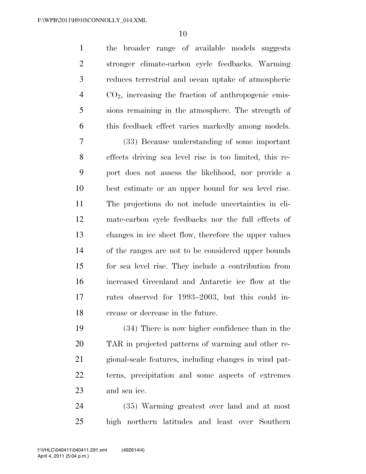the broader range of available models suggests stronger climate-carbon cycle feedbacks. Warming reduces terrestrial and ocean uptake of atmospheric CO2, increasing the fraction of anthropogenic emis- sions remaining in the atmosphere. The strength of this feedback effect varies markedly among models.

 (33) Because understanding of some important effects driving sea level rise is too limited, this re- port does not assess the likelihood, nor provide a best estimate or an upper bound for sea level rise. The projections do not include uncertainties in cli- mate-carbon cycle feedbacks nor the full effects of changes in ice sheet flow, therefore the upper values of the ranges are not to be considered upper bounds for sea level rise. They include a contribution from increased Greenland and Antarctic ice flow at the rates observed for 1993–2003, but this could in-crease or decrease in the future.

 (34) There is now higher confidence than in the TAR in projected patterns of warming and other re- gional-scale features, including changes in wind pat- terns, precipitation and some aspects of extremes and sea ice.

 (35) Warming greatest over land and at most high northern latitudes and least over Southern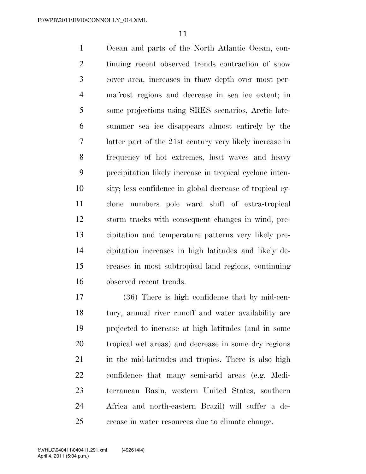Ocean and parts of the North Atlantic Ocean, con- tinuing recent observed trends contraction of snow cover area, increases in thaw depth over most per- mafrost regions and decrease in sea ice extent; in some projections using SRES scenarios, Arctic late- summer sea ice disappears almost entirely by the latter part of the 21st century very likely increase in frequency of hot extremes, heat waves and heavy precipitation likely increase in tropical cyclone inten- sity; less confidence in global decrease of tropical cy- clone numbers pole ward shift of extra-tropical storm tracks with consequent changes in wind, pre- cipitation and temperature patterns very likely pre- cipitation increases in high latitudes and likely de- creases in most subtropical land regions, continuing observed recent trends.

 (36) There is high confidence that by mid-cen- tury, annual river runoff and water availability are projected to increase at high latitudes (and in some tropical wet areas) and decrease in some dry regions 21 in the mid-latitudes and tropics. There is also high confidence that many semi-arid areas (e.g. Medi- terranean Basin, western United States, southern Africa and north-eastern Brazil) will suffer a de-crease in water resources due to climate change.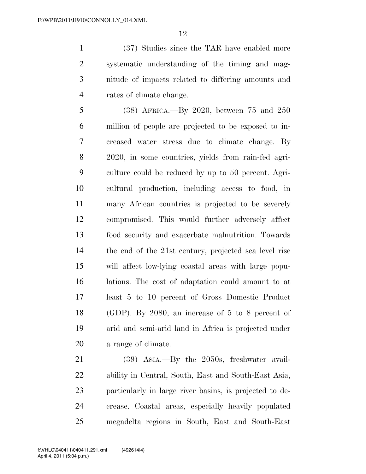(37) Studies since the TAR have enabled more systematic understanding of the timing and mag- nitude of impacts related to differing amounts and rates of climate change.

 (38) AFRICA.—By 2020, between 75 and 250 million of people are projected to be exposed to in- creased water stress due to climate change. By 2020, in some countries, yields from rain-fed agri- culture could be reduced by up to 50 percent. Agri- cultural production, including access to food, in many African countries is projected to be severely compromised. This would further adversely affect food security and exacerbate malnutrition. Towards the end of the 21st century, projected sea level rise will affect low-lying coastal areas with large popu- lations. The cost of adaptation could amount to at least 5 to 10 percent of Gross Domestic Product (GDP). By 2080, an increase of 5 to 8 percent of arid and semi-arid land in Africa is projected under a range of climate.

 (39) ASIA.—By the 2050s, freshwater avail- ability in Central, South, East and South-East Asia, particularly in large river basins, is projected to de- crease. Coastal areas, especially heavily populated megadelta regions in South, East and South-East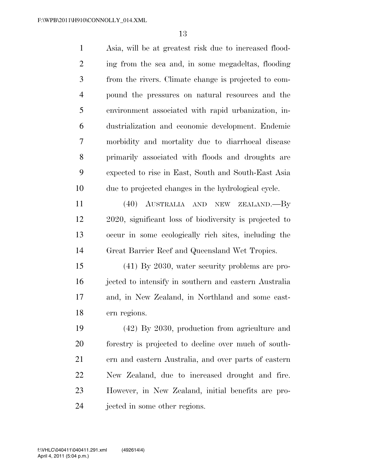| $\mathbf{1}$   | Asia, will be at greatest risk due to increased flood- |
|----------------|--------------------------------------------------------|
| 2              | ing from the sea and, in some megadeltas, flooding     |
| 3              | from the rivers. Climate change is projected to com-   |
| $\overline{4}$ | pound the pressures on natural resources and the       |
| 5              | environment associated with rapid urbanization, in-    |
| 6              | dustrialization and economic development. Endemic      |
| 7              | morbidity and mortality due to diarrhoeal disease      |
| 8              | primarily associated with floods and droughts are      |
| 9              | expected to rise in East, South and South-East Asia    |
| 10             | due to projected changes in the hydrological cycle.    |
|                |                                                        |

 (40) AUSTRALIA AND NEW ZEALAND.—By 2020, significant loss of biodiversity is projected to occur in some ecologically rich sites, including the Great Barrier Reef and Queensland Wet Tropics.

 (41) By 2030, water security problems are pro- jected to intensify in southern and eastern Australia and, in New Zealand, in Northland and some east-ern regions.

 (42) By 2030, production from agriculture and forestry is projected to decline over much of south- ern and eastern Australia, and over parts of eastern New Zealand, due to increased drought and fire. However, in New Zealand, initial benefits are pro-jected in some other regions.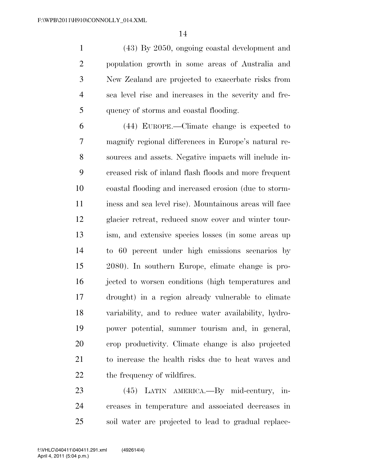(43) By 2050, ongoing coastal development and population growth in some areas of Australia and New Zealand are projected to exacerbate risks from sea level rise and increases in the severity and fre-quency of storms and coastal flooding.

 (44) EUROPE.—Climate change is expected to magnify regional differences in Europe's natural re- sources and assets. Negative impacts will include in- creased risk of inland flash floods and more frequent coastal flooding and increased erosion (due to storm- iness and sea level rise). Mountainous areas will face glacier retreat, reduced snow cover and winter tour- ism, and extensive species losses (in some areas up to 60 percent under high emissions scenarios by 2080). In southern Europe, climate change is pro- jected to worsen conditions (high temperatures and drought) in a region already vulnerable to climate variability, and to reduce water availability, hydro- power potential, summer tourism and, in general, crop productivity. Climate change is also projected to increase the health risks due to heat waves and 22 the frequency of wildfires.

 (45) LATIN AMERICA.—By mid-century, in- creases in temperature and associated decreases in soil water are projected to lead to gradual replace-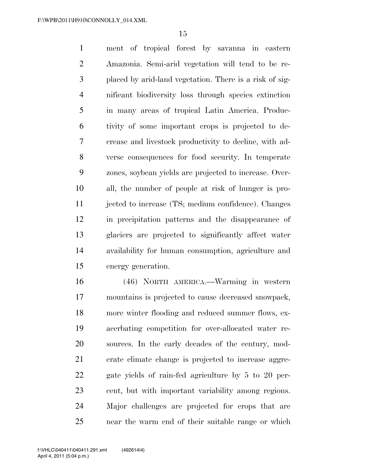ment of tropical forest by savanna in eastern Amazonia. Semi-arid vegetation will tend to be re- placed by arid-land vegetation. There is a risk of sig- nificant biodiversity loss through species extinction in many areas of tropical Latin America. Produc- tivity of some important crops is projected to de- crease and livestock productivity to decline, with ad- verse consequences for food security. In temperate zones, soybean yields are projected to increase. Over- all, the number of people at risk of hunger is pro- jected to increase (TS; medium confidence). Changes in precipitation patterns and the disappearance of glaciers are projected to significantly affect water availability for human consumption, agriculture and energy generation.

 (46) NORTH AMERICA.—Warming in western mountains is projected to cause decreased snowpack, more winter flooding and reduced summer flows, ex- acerbating competition for over-allocated water re- sources. In the early decades of the century, mod- erate climate change is projected to increase aggre- gate yields of rain-fed agriculture by 5 to 20 per- cent, but with important variability among regions. Major challenges are projected for crops that are near the warm end of their suitable range or which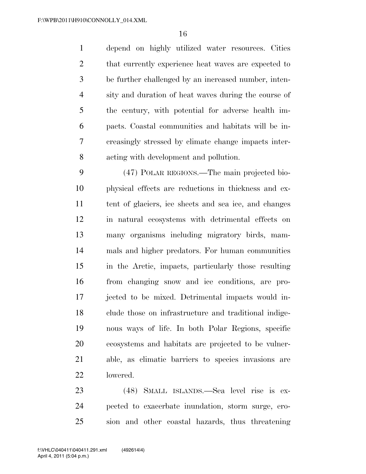depend on highly utilized water resources. Cities 2 that currently experience heat waves are expected to be further challenged by an increased number, inten- sity and duration of heat waves during the course of the century, with potential for adverse health im- pacts. Coastal communities and habitats will be in- creasingly stressed by climate change impacts inter-acting with development and pollution.

 (47) POLAR REGIONS.—The main projected bio- physical effects are reductions in thickness and ex- tent of glaciers, ice sheets and sea ice, and changes in natural ecosystems with detrimental effects on many organisms including migratory birds, mam- mals and higher predators. For human communities in the Arctic, impacts, particularly those resulting from changing snow and ice conditions, are pro- jected to be mixed. Detrimental impacts would in- clude those on infrastructure and traditional indige- nous ways of life. In both Polar Regions, specific ecosystems and habitats are projected to be vulner- able, as climatic barriers to species invasions are lowered.

 (48) SMALL ISLANDS.—Sea level rise is ex- pected to exacerbate inundation, storm surge, ero-sion and other coastal hazards, thus threatening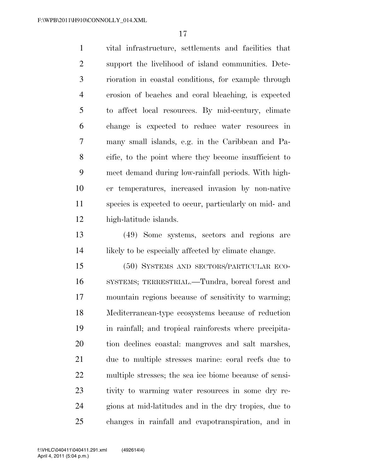vital infrastructure, settlements and facilities that support the livelihood of island communities. Dete- rioration in coastal conditions, for example through erosion of beaches and coral bleaching, is expected to affect local resources. By mid-century, climate change is expected to reduce water resources in many small islands, e.g. in the Caribbean and Pa- cific, to the point where they become insufficient to meet demand during low-rainfall periods. With high- er temperatures, increased invasion by non-native species is expected to occur, particularly on mid- and high-latitude islands.

 (49) Some systems, sectors and regions are 14 likely to be especially affected by climate change.

 (50) SYSTEMS AND SECTORS/PARTICULAR ECO- SYSTEMS; TERRESTRIAL.—Tundra, boreal forest and mountain regions because of sensitivity to warming; Mediterranean-type ecosystems because of reduction in rainfall; and tropical rainforests where precipita- tion declines coastal: mangroves and salt marshes, due to multiple stresses marine: coral reefs due to multiple stresses; the sea ice biome because of sensi- tivity to warming water resources in some dry re- gions at mid-latitudes and in the dry tropics, due to changes in rainfall and evapotranspiration, and in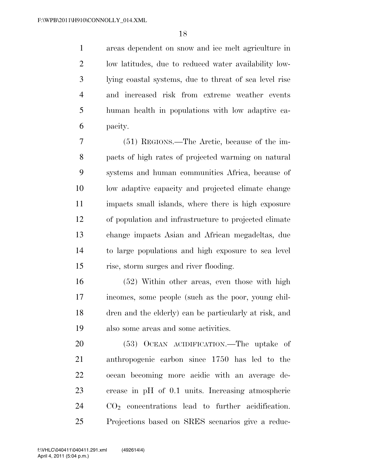areas dependent on snow and ice melt agriculture in low latitudes, due to reduced water availability low- lying coastal systems, due to threat of sea level rise and increased risk from extreme weather events human health in populations with low adaptive ca-pacity.

 (51) REGIONS.—The Arctic, because of the im- pacts of high rates of projected warming on natural systems and human communities Africa, because of low adaptive capacity and projected climate change impacts small islands, where there is high exposure of population and infrastructure to projected climate change impacts Asian and African megadeltas, due to large populations and high exposure to sea level rise, storm surges and river flooding.

 (52) Within other areas, even those with high incomes, some people (such as the poor, young chil- dren and the elderly) can be particularly at risk, and also some areas and some activities.

 (53) OCEAN ACIDIFICATION.—The uptake of anthropogenic carbon since 1750 has led to the ocean becoming more acidic with an average de- crease in pH of 0.1 units. Increasing atmospheric CO2 concentrations lead to further acidification. Projections based on SRES scenarios give a reduc-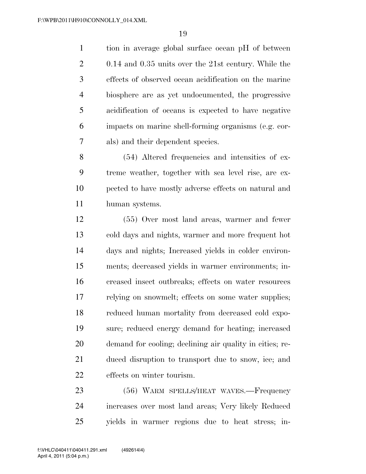tion in average global surface ocean pH of between 0.14 and 0.35 units over the 21st century. While the effects of observed ocean acidification on the marine biosphere are as yet undocumented, the progressive acidification of oceans is expected to have negative impacts on marine shell-forming organisms (e.g. cor-als) and their dependent species.

 (54) Altered frequencies and intensities of ex- treme weather, together with sea level rise, are ex- pected to have mostly adverse effects on natural and human systems.

 (55) Over most land areas, warmer and fewer cold days and nights, warmer and more frequent hot days and nights; Increased yields in colder environ- ments; decreased yields in warmer environments; in- creased insect outbreaks; effects on water resources relying on snowmelt; effects on some water supplies; reduced human mortality from decreased cold expo- sure; reduced energy demand for heating; increased demand for cooling; declining air quality in cities; re- duced disruption to transport due to snow, ice; and effects on winter tourism.

 (56) WARM SPELLS/HEAT WAVES.—Frequency increases over most land areas; Very likely Reduced yields in warmer regions due to heat stress; in-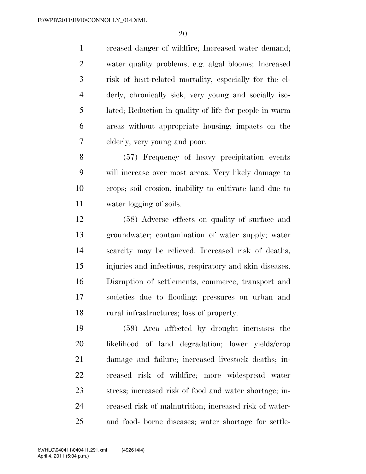creased danger of wildfire; Increased water demand; water quality problems, e.g. algal blooms; Increased risk of heat-related mortality, especially for the el- derly, chronically sick, very young and socially iso- lated; Reduction in quality of life for people in warm areas without appropriate housing; impacts on the elderly, very young and poor.

 (57) Frequency of heavy precipitation events will increase over most areas. Very likely damage to crops; soil erosion, inability to cultivate land due to water logging of soils.

 (58) Adverse effects on quality of surface and groundwater; contamination of water supply; water scarcity may be relieved. Increased risk of deaths, injuries and infectious, respiratory and skin diseases. Disruption of settlements, commerce, transport and societies due to flooding: pressures on urban and rural infrastructures; loss of property.

 (59) Area affected by drought increases the likelihood of land degradation; lower yields/crop damage and failure; increased livestock deaths; in- creased risk of wildfire; more widespread water stress; increased risk of food and water shortage; in- creased risk of malnutrition; increased risk of water-and food- borne diseases; water shortage for settle-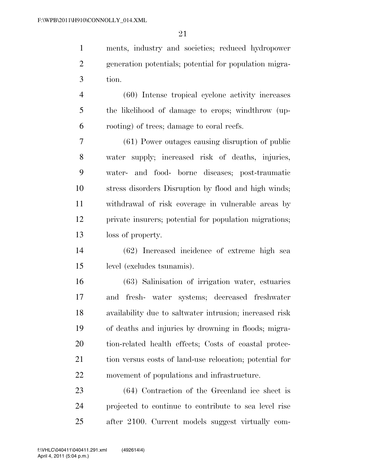ments, industry and societies; reduced hydropower generation potentials; potential for population migra-tion.

 (60) Intense tropical cyclone activity increases the likelihood of damage to crops; windthrow (up-rooting) of trees; damage to coral reefs.

 (61) Power outages causing disruption of public water supply; increased risk of deaths, injuries, water- and food- borne diseases; post-traumatic stress disorders Disruption by flood and high winds; withdrawal of risk coverage in vulnerable areas by private insurers; potential for population migrations; loss of property.

 (62) Increased incidence of extreme high sea level (excludes tsunamis).

 (63) Salinisation of irrigation water, estuaries and fresh- water systems; decreased freshwater availability due to saltwater intrusion; increased risk of deaths and injuries by drowning in floods; migra- tion-related health effects; Costs of coastal protec- tion versus costs of land-use relocation; potential for movement of populations and infrastructure.

 (64) Contraction of the Greenland ice sheet is projected to continue to contribute to sea level rise after 2100. Current models suggest virtually com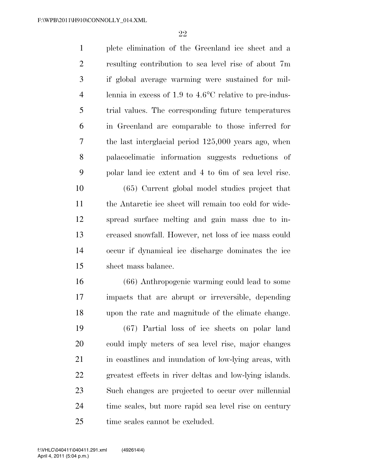plete elimination of the Greenland ice sheet and a resulting contribution to sea level rise of about 7m if global average warming were sustained for mil- lennia in excess of 1.9 to 4.6°C relative to pre-indus- trial values. The corresponding future temperatures in Greenland are comparable to those inferred for the last interglacial period 125,000 years ago, when palaeoclimatic information suggests reductions of polar land ice extent and 4 to 6m of sea level rise.

 (65) Current global model studies project that the Antarctic ice sheet will remain too cold for wide- spread surface melting and gain mass due to in- creased snowfall. However, net loss of ice mass could occur if dynamical ice discharge dominates the ice sheet mass balance.

 (66) Anthropogenic warming could lead to some impacts that are abrupt or irreversible, depending upon the rate and magnitude of the climate change.

 (67) Partial loss of ice sheets on polar land could imply meters of sea level rise, major changes 21 in coastlines and inundation of low-lying areas, with greatest effects in river deltas and low-lying islands. Such changes are projected to occur over millennial time scales, but more rapid sea level rise on century time scales cannot be excluded.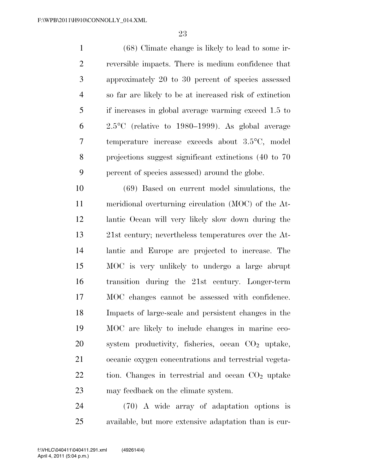(68) Climate change is likely to lead to some ir- reversible impacts. There is medium confidence that approximately 20 to 30 percent of species assessed so far are likely to be at increased risk of extinction if increases in global average warming exceed 1.5 to 2.5°C (relative to 1980–1999). As global average temperature increase exceeds about 3.5°C, model projections suggest significant extinctions (40 to 70 percent of species assessed) around the globe.

 (69) Based on current model simulations, the meridional overturning circulation (MOC) of the At- lantic Ocean will very likely slow down during the 21st century; nevertheless temperatures over the At- lantic and Europe are projected to increase. The MOC is very unlikely to undergo a large abrupt transition during the 21st century. Longer-term MOC changes cannot be assessed with confidence. Impacts of large-scale and persistent changes in the MOC are likely to include changes in marine eco-20 system productivity, fisheries, ocean CO<sub>2</sub> uptake, oceanic oxygen concentrations and terrestrial vegeta- tion. Changes in terrestrial and ocean  $CO<sub>2</sub>$  uptake may feedback on the climate system.

 (70) A wide array of adaptation options is available, but more extensive adaptation than is cur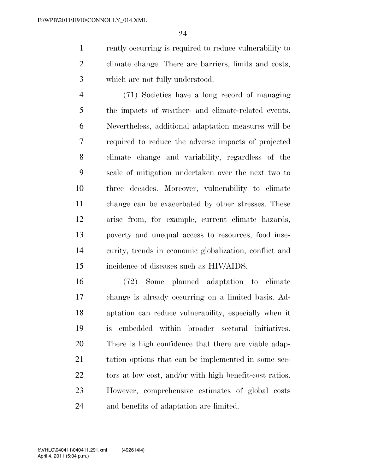rently occurring is required to reduce vulnerability to climate change. There are barriers, limits and costs, which are not fully understood.

 (71) Societies have a long record of managing the impacts of weather- and climate-related events. Nevertheless, additional adaptation measures will be required to reduce the adverse impacts of projected climate change and variability, regardless of the scale of mitigation undertaken over the next two to three decades. Moreover, vulnerability to climate change can be exacerbated by other stresses. These arise from, for example, current climate hazards, poverty and unequal access to resources, food inse- curity, trends in economic globalization, conflict and incidence of diseases such as HIV/AIDS.

 (72) Some planned adaptation to climate change is already occurring on a limited basis. Ad- aptation can reduce vulnerability, especially when it is embedded within broader sectoral initiatives. There is high confidence that there are viable adap- tation options that can be implemented in some sec-22 tors at low cost, and/or with high benefit-cost ratios. However, comprehensive estimates of global costs and benefits of adaptation are limited.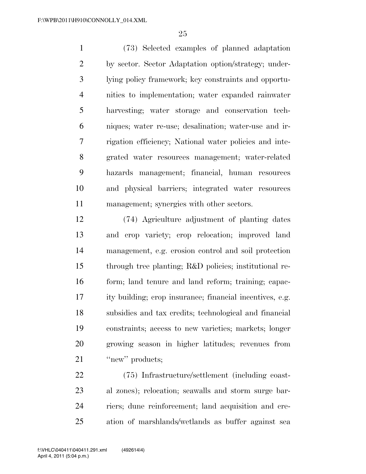(73) Selected examples of planned adaptation by sector. Sector Adaptation option/strategy; under- lying policy framework; key constraints and opportu- nities to implementation; water expanded rainwater harvesting; water storage and conservation tech- niques; water re-use; desalination; water-use and ir- rigation efficiency; National water policies and inte- grated water resources management; water-related hazards management; financial, human resources and physical barriers; integrated water resources management; synergies with other sectors.

 (74) Agriculture adjustment of planting dates and crop variety; crop relocation; improved land management, e.g. erosion control and soil protection through tree planting; R&D policies; institutional re- form; land tenure and land reform; training; capac- ity building; crop insurance; financial incentives, e.g. subsidies and tax credits; technological and financial constraints; access to new varieties; markets; longer growing season in higher latitudes; revenues from ''new'' products;

 (75) Infrastructure/settlement (including coast- al zones); relocation; seawalls and storm surge bar- riers; dune reinforcement; land acquisition and cre-ation of marshlands/wetlands as buffer against sea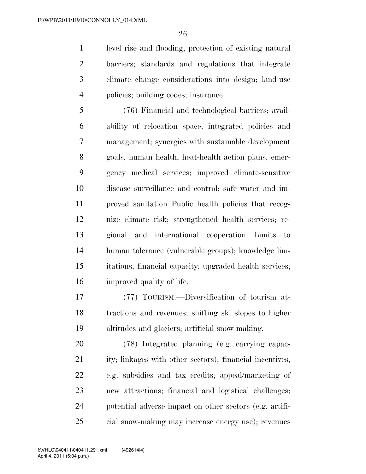level rise and flooding; protection of existing natural barriers; standards and regulations that integrate climate change considerations into design; land-use policies; building codes; insurance.

 (76) Financial and technological barriers; avail- ability of relocation space; integrated policies and management; synergies with sustainable development goals; human health; heat-health action plans; emer- gency medical services; improved climate-sensitive disease surveillance and control; safe water and im- proved sanitation Public health policies that recog- nize climate risk; strengthened health services; re- gional and international cooperation Limits to human tolerance (vulnerable groups); knowledge lim- itations; financial capacity; upgraded health services; improved quality of life.

 (77) TOURISM.—Diversification of tourism at- tractions and revenues; shifting ski slopes to higher altitudes and glaciers; artificial snow-making.

 (78) Integrated planning (e.g. carrying capac-21 ity; linkages with other sectors); financial incentives, e.g. subsidies and tax credits; appeal/marketing of new attractions; financial and logistical challenges; potential adverse impact on other sectors (e.g. artifi-cial snow-making may increase energy use); revenues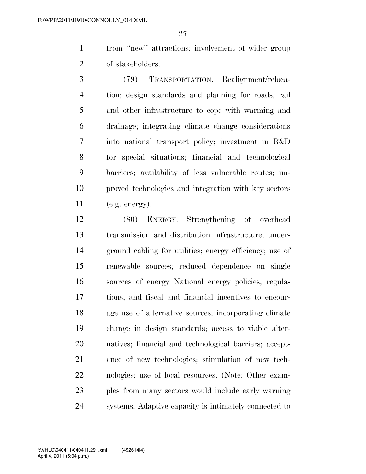from ''new'' attractions; involvement of wider group 2 of stakeholders.

 (79) TRANSPORTATION.—Realignment/reloca- tion; design standards and planning for roads, rail and other infrastructure to cope with warming and drainage; integrating climate change considerations into national transport policy; investment in R&D for special situations; financial and technological barriers; availability of less vulnerable routes; im- proved technologies and integration with key sectors (e.g. energy).

 (80) ENERGY.—Strengthening of overhead transmission and distribution infrastructure; under- ground cabling for utilities; energy efficiency; use of renewable sources; reduced dependence on single sources of energy National energy policies, regula- tions, and fiscal and financial incentives to encour- age use of alternative sources; incorporating climate change in design standards; access to viable alter- natives; financial and technological barriers; accept- ance of new technologies; stimulation of new tech- nologies; use of local resources. (Note: Other exam- ples from many sectors would include early warning systems. Adaptive capacity is intimately connected to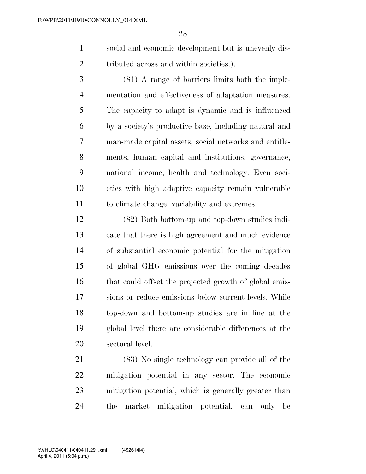- social and economic development but is unevenly dis-tributed across and within societies.).
- (81) A range of barriers limits both the imple- mentation and effectiveness of adaptation measures. The capacity to adapt is dynamic and is influenced by a society's productive base, including natural and man-made capital assets, social networks and entitle- ments, human capital and institutions, governance, national income, health and technology. Even soci- eties with high adaptive capacity remain vulnerable to climate change, variability and extremes.

 (82) Both bottom-up and top-down studies indi- cate that there is high agreement and much evidence of substantial economic potential for the mitigation of global GHG emissions over the coming decades that could offset the projected growth of global emis- sions or reduce emissions below current levels. While top-down and bottom-up studies are in line at the global level there are considerable differences at the sectoral level.

 (83) No single technology can provide all of the mitigation potential in any sector. The economic mitigation potential, which is generally greater than the market mitigation potential, can only be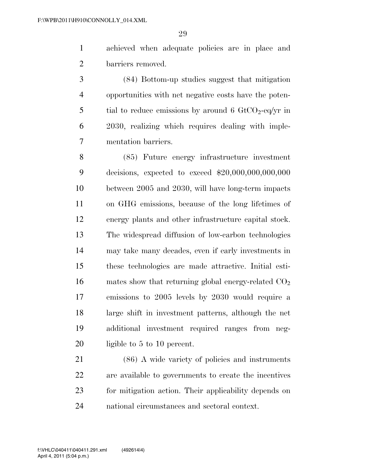achieved when adequate policies are in place and barriers removed.

 (84) Bottom-up studies suggest that mitigation opportunities with net negative costs have the poten-5 tial to reduce emissions by around 6  $GtCO<sub>2</sub>$ -eq/yr in 2030, realizing which requires dealing with imple-mentation barriers.

 (85) Future energy infrastructure investment decisions, expected to exceed \$20,000,000,000,000 between 2005 and 2030, will have long-term impacts on GHG emissions, because of the long lifetimes of energy plants and other infrastructure capital stock. The widespread diffusion of low-carbon technologies may take many decades, even if early investments in these technologies are made attractive. Initial esti-16 mates show that returning global energy-related  $CO<sub>2</sub>$  emissions to 2005 levels by 2030 would require a large shift in investment patterns, although the net additional investment required ranges from neg-20 ligible to 5 to 10 percent.

 (86) A wide variety of policies and instruments are available to governments to create the incentives for mitigation action. Their applicability depends on national circumstances and sectoral context.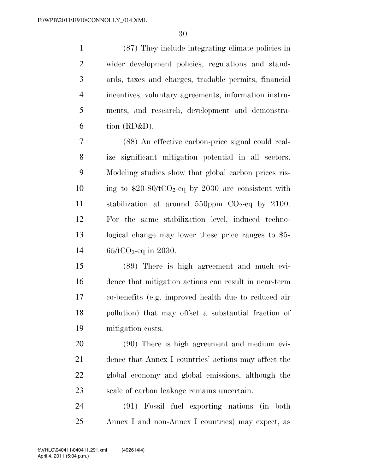(87) They include integrating climate policies in wider development policies, regulations and stand- ards, taxes and charges, tradable permits, financial incentives, voluntary agreements, information instru- ments, and research, development and demonstra- $6 \quad \text{tion (RD&D)}$ .

 (88) An effective carbon-price signal could real- ize significant mitigation potential in all sectors. Modeling studies show that global carbon prices ris-10 ing to  $$20-80/tCO_2$ -eq by 2030 are consistent with 11 stabilization at around ppm  $CO<sub>2</sub>$ -eq by 2100. For the same stabilization level, induced techno- logical change may lower these price ranges to \$5-  $65/tCO<sub>2</sub>$ -eq in 2030.

 (89) There is high agreement and much evi- dence that mitigation actions can result in near-term co-benefits (e.g. improved health due to reduced air pollution) that may offset a substantial fraction of mitigation costs.

 (90) There is high agreement and medium evi- dence that Annex I countries' actions may affect the global economy and global emissions, although the scale of carbon leakage remains uncertain.

 (91) Fossil fuel exporting nations (in both Annex I and non-Annex I countries) may expect, as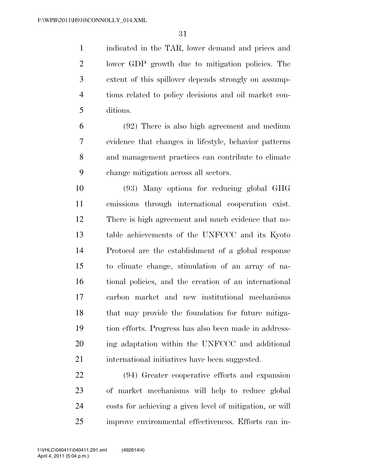indicated in the TAR, lower demand and prices and lower GDP growth due to mitigation policies. The extent of this spillover depends strongly on assump- tions related to policy decisions and oil market con-ditions.

 (92) There is also high agreement and medium evidence that changes in lifestyle, behavior patterns and management practices can contribute to climate change mitigation across all sectors.

 (93) Many options for reducing global GHG emissions through international cooperation exist. There is high agreement and much evidence that no- table achievements of the UNFCCC and its Kyoto Protocol are the establishment of a global response to climate change, stimulation of an array of na- tional policies, and the creation of an international carbon market and new institutional mechanisms that may provide the foundation for future mitiga- tion efforts. Progress has also been made in address- ing adaptation within the UNFCCC and additional international initiatives have been suggested.

 (94) Greater cooperative efforts and expansion of market mechanisms will help to reduce global costs for achieving a given level of mitigation, or will improve environmental effectiveness. Efforts can in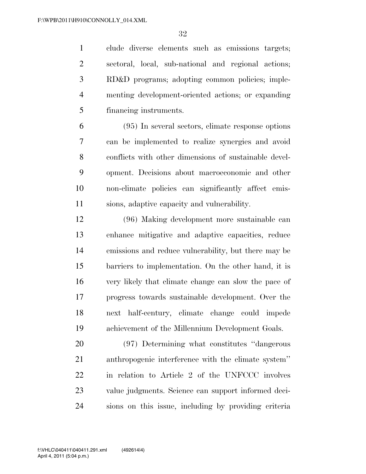clude diverse elements such as emissions targets; sectoral, local, sub-national and regional actions; RD&D programs; adopting common policies; imple- menting development-oriented actions; or expanding financing instruments.

 (95) In several sectors, climate response options can be implemented to realize synergies and avoid conflicts with other dimensions of sustainable devel- opment. Decisions about macroeconomic and other non-climate policies can significantly affect emis-sions, adaptive capacity and vulnerability.

 (96) Making development more sustainable can enhance mitigative and adaptive capacities, reduce emissions and reduce vulnerability, but there may be barriers to implementation. On the other hand, it is very likely that climate change can slow the pace of progress towards sustainable development. Over the next half-century, climate change could impede achievement of the Millennium Development Goals.

 (97) Determining what constitutes ''dangerous anthropogenic interference with the climate system'' in relation to Article 2 of the UNFCCC involves value judgments. Science can support informed deci-sions on this issue, including by providing criteria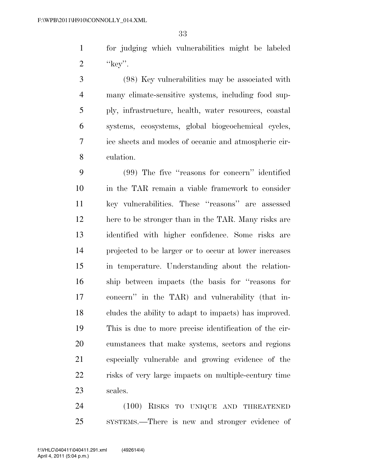for judging which vulnerabilities might be labeled 2  $"kev"$ .

 (98) Key vulnerabilities may be associated with many climate-sensitive systems, including food sup- ply, infrastructure, health, water resources, coastal systems, ecosystems, global biogeochemical cycles, ice sheets and modes of oceanic and atmospheric cir-culation.

 (99) The five ''reasons for concern'' identified in the TAR remain a viable framework to consider key vulnerabilities. These ''reasons'' are assessed here to be stronger than in the TAR. Many risks are identified with higher confidence. Some risks are projected to be larger or to occur at lower increases in temperature. Understanding about the relation- ship between impacts (the basis for ''reasons for concern'' in the TAR) and vulnerability (that in- cludes the ability to adapt to impacts) has improved. This is due to more precise identification of the cir- cumstances that make systems, sectors and regions especially vulnerable and growing evidence of the risks of very large impacts on multiple-century time scales.

 (100) RISKS TO UNIQUE AND THREATENED SYSTEMS.—There is new and stronger evidence of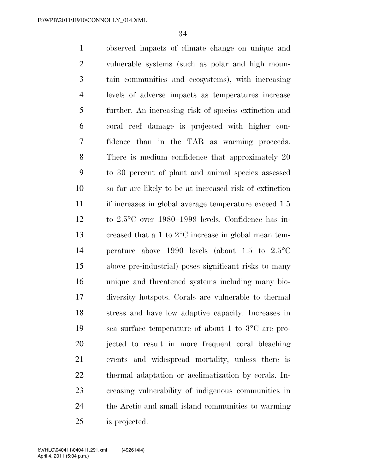observed impacts of climate change on unique and vulnerable systems (such as polar and high moun- tain communities and ecosystems), with increasing levels of adverse impacts as temperatures increase further. An increasing risk of species extinction and coral reef damage is projected with higher con- fidence than in the TAR as warming proceeds. There is medium confidence that approximately 20 to 30 percent of plant and animal species assessed so far are likely to be at increased risk of extinction 11 if increases in global average temperature exceed 1.5 to 2.5°C over 1980–1999 levels. Confidence has in- creased that a 1 to 2°C increase in global mean tem- perature above 1990 levels (about 1.5 to 2.5°C above pre-industrial) poses significant risks to many unique and threatened systems including many bio- diversity hotspots. Corals are vulnerable to thermal stress and have low adaptive capacity. Increases in sea surface temperature of about 1 to 3°C are pro- jected to result in more frequent coral bleaching events and widespread mortality, unless there is thermal adaptation or acclimatization by corals. In- creasing vulnerability of indigenous communities in the Arctic and small island communities to warming is projected.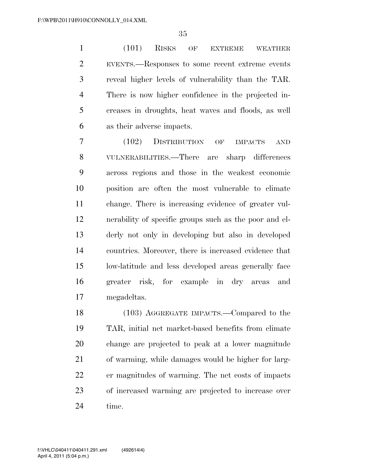(101) RISKS OF EXTREME WEATHER EVENTS.—Responses to some recent extreme events reveal higher levels of vulnerability than the TAR. There is now higher confidence in the projected in- creases in droughts, heat waves and floods, as well as their adverse impacts.

 (102) DISTRIBUTION OF IMPACTS AND VULNERABILITIES.—There are sharp differences across regions and those in the weakest economic position are often the most vulnerable to climate change. There is increasing evidence of greater vul- nerability of specific groups such as the poor and el- derly not only in developing but also in developed countries. Moreover, there is increased evidence that low-latitude and less developed areas generally face greater risk, for example in dry areas and megadeltas.

 (103) AGGREGATE IMPACTS.—Compared to the TAR, initial net market-based benefits from climate change are projected to peak at a lower magnitude of warming, while damages would be higher for larg- er magnitudes of warming. The net costs of impacts of increased warming are projected to increase over time.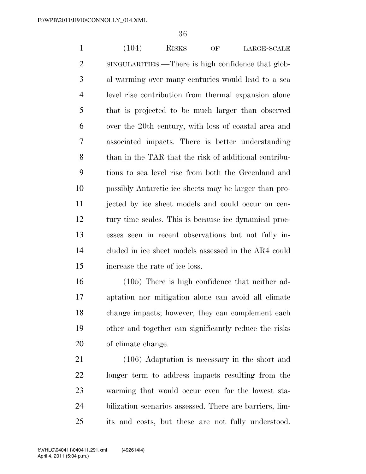1 (104) RISKS OF LARGE-SCALE SINGULARITIES.—There is high confidence that glob- al warming over many centuries would lead to a sea level rise contribution from thermal expansion alone that is projected to be much larger than observed over the 20th century, with loss of coastal area and associated impacts. There is better understanding than in the TAR that the risk of additional contribu- tions to sea level rise from both the Greenland and possibly Antarctic ice sheets may be larger than pro- jected by ice sheet models and could occur on cen- tury time scales. This is because ice dynamical proc- esses seen in recent observations but not fully in- cluded in ice sheet models assessed in the AR4 could increase the rate of ice loss.

 (105) There is high confidence that neither ad- aptation nor mitigation alone can avoid all climate change impacts; however, they can complement each other and together can significantly reduce the risks of climate change.

 (106) Adaptation is necessary in the short and longer term to address impacts resulting from the warming that would occur even for the lowest sta- bilization scenarios assessed. There are barriers, lim-its and costs, but these are not fully understood.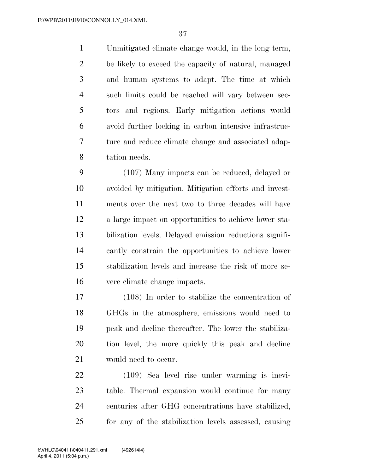Unmitigated climate change would, in the long term, be likely to exceed the capacity of natural, managed and human systems to adapt. The time at which such limits could be reached will vary between sec- tors and regions. Early mitigation actions would avoid further locking in carbon intensive infrastruc- ture and reduce climate change and associated adap-tation needs.

 (107) Many impacts can be reduced, delayed or avoided by mitigation. Mitigation efforts and invest- ments over the next two to three decades will have a large impact on opportunities to achieve lower sta- bilization levels. Delayed emission reductions signifi- cantly constrain the opportunities to achieve lower stabilization levels and increase the risk of more se-vere climate change impacts.

 (108) In order to stabilize the concentration of GHGs in the atmosphere, emissions would need to peak and decline thereafter. The lower the stabiliza- tion level, the more quickly this peak and decline would need to occur.

 (109) Sea level rise under warming is inevi- table. Thermal expansion would continue for many centuries after GHG concentrations have stabilized, for any of the stabilization levels assessed, causing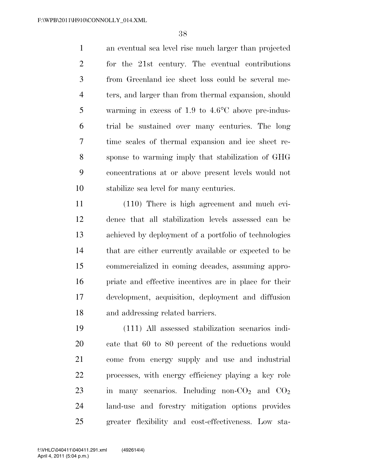an eventual sea level rise much larger than projected for the 21st century. The eventual contributions from Greenland ice sheet loss could be several me- ters, and larger than from thermal expansion, should warming in excess of 1.9 to 4.6°C above pre-indus- trial be sustained over many centuries. The long time scales of thermal expansion and ice sheet re- sponse to warming imply that stabilization of GHG concentrations at or above present levels would not stabilize sea level for many centuries.

 (110) There is high agreement and much evi- dence that all stabilization levels assessed can be achieved by deployment of a portfolio of technologies that are either currently available or expected to be commercialized in coming decades, assuming appro- priate and effective incentives are in place for their development, acquisition, deployment and diffusion and addressing related barriers.

 (111) All assessed stabilization scenarios indi- cate that 60 to 80 percent of the reductions would come from energy supply and use and industrial processes, with energy efficiency playing a key role 23 in many scenarios. Including non- $CO<sub>2</sub>$  and  $CO<sub>2</sub>$  land-use and forestry mitigation options provides greater flexibility and cost-effectiveness. Low sta-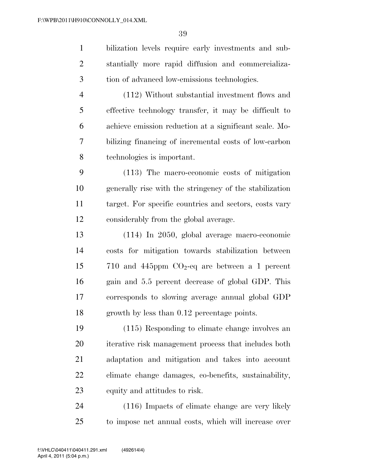bilization levels require early investments and sub- stantially more rapid diffusion and commercializa- tion of advanced low-emissions technologies. (112) Without substantial investment flows and

 effective technology transfer, it may be difficult to achieve emission reduction at a significant scale. Mo- bilizing financing of incremental costs of low-carbon technologies is important.

 (113) The macro-economic costs of mitigation generally rise with the stringency of the stabilization target. For specific countries and sectors, costs vary considerably from the global average.

 (114) In 2050, global average macro-economic costs for mitigation towards stabilization between 15 710 and 445ppm  $CO<sub>2</sub>$ -eq are between a 1 percent gain and 5.5 percent decrease of global GDP. This corresponds to slowing average annual global GDP growth by less than 0.12 percentage points.

 (115) Responding to climate change involves an iterative risk management process that includes both adaptation and mitigation and takes into account climate change damages, co-benefits, sustainability, equity and attitudes to risk.

 (116) Impacts of climate change are very likely to impose net annual costs, which will increase over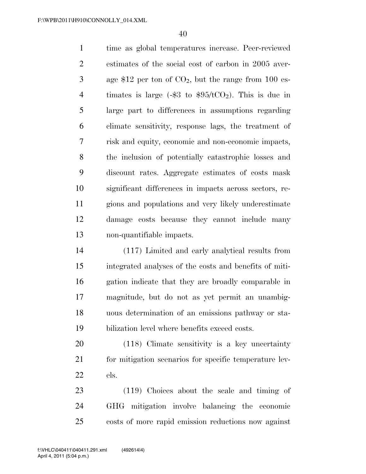time as global temperatures increase. Peer-reviewed estimates of the social cost of carbon in 2005 aver- $3 \qquad$  age \$12 per ton of  $CO<sub>2</sub>$ , but the range from 100 es-4 timates is large  $(-\$3$  to  $\$95/\text{tCO}_2)$ . This is due in large part to differences in assumptions regarding climate sensitivity, response lags, the treatment of risk and equity, economic and non-economic impacts, the inclusion of potentially catastrophic losses and discount rates. Aggregate estimates of costs mask significant differences in impacts across sectors, re- gions and populations and very likely underestimate damage costs because they cannot include many non-quantifiable impacts.

 (117) Limited and early analytical results from integrated analyses of the costs and benefits of miti- gation indicate that they are broadly comparable in magnitude, but do not as yet permit an unambig- uous determination of an emissions pathway or sta-bilization level where benefits exceed costs.

 (118) Climate sensitivity is a key uncertainty 21 for mitigation scenarios for specific temperature lev-els.

 (119) Choices about the scale and timing of GHG mitigation involve balancing the economic costs of more rapid emission reductions now against